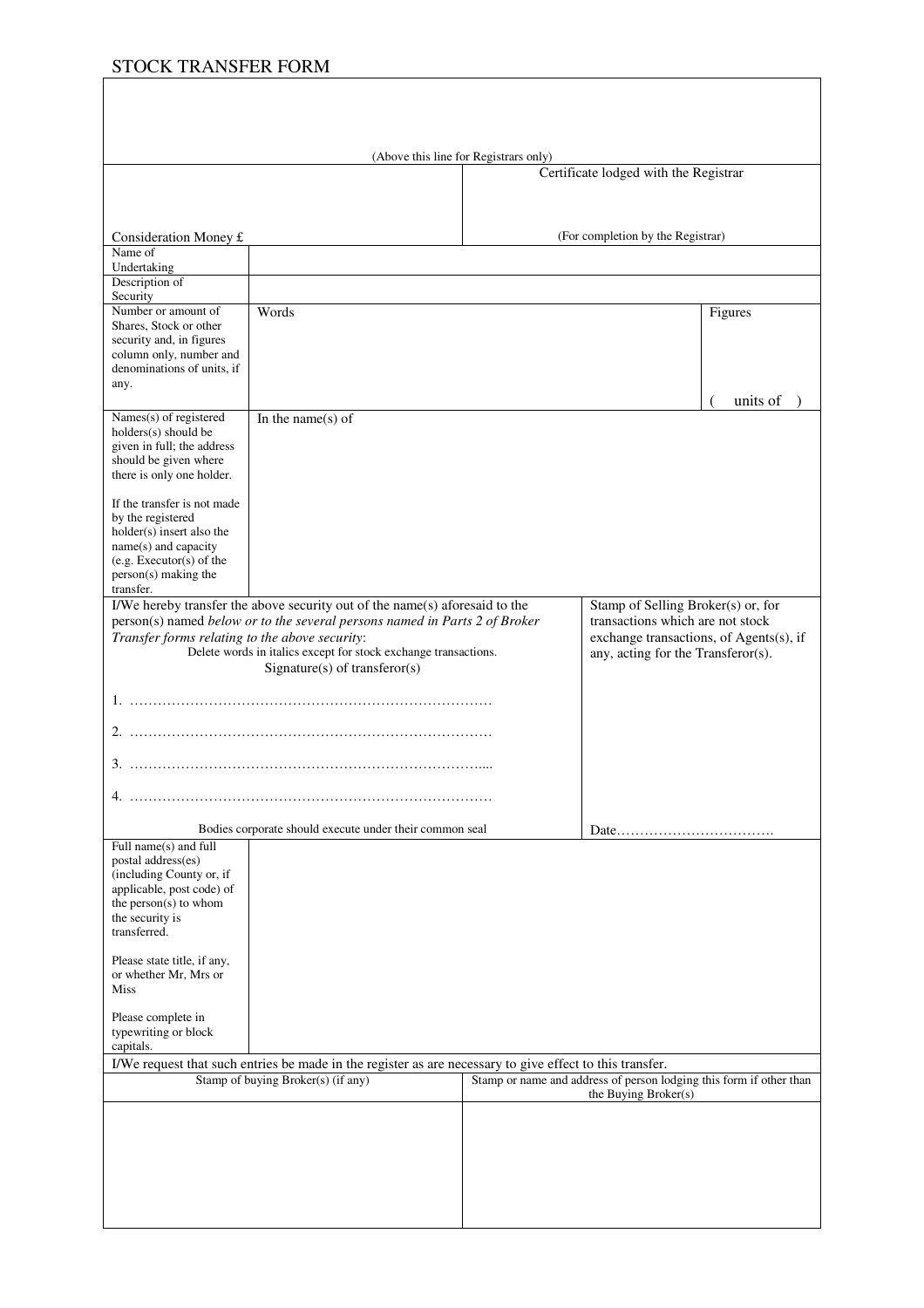# STOCK TRANSFER FORM

|                                                                                                          |                                                                                                                                                           | (Above this line for Registrars only) | Certificate lodged with the Registrar                                                       |          |
|----------------------------------------------------------------------------------------------------------|-----------------------------------------------------------------------------------------------------------------------------------------------------------|---------------------------------------|---------------------------------------------------------------------------------------------|----------|
|                                                                                                          |                                                                                                                                                           |                                       |                                                                                             |          |
|                                                                                                          |                                                                                                                                                           |                                       |                                                                                             |          |
| Consideration Money £                                                                                    |                                                                                                                                                           | (For completion by the Registrar)     |                                                                                             |          |
| Name of<br>Undertaking                                                                                   |                                                                                                                                                           |                                       |                                                                                             |          |
| Description of                                                                                           |                                                                                                                                                           |                                       |                                                                                             |          |
| Security<br>Number or amount of                                                                          | Words                                                                                                                                                     |                                       |                                                                                             | Figures  |
| Shares, Stock or other<br>security and, in figures                                                       |                                                                                                                                                           |                                       |                                                                                             |          |
| column only, number and                                                                                  |                                                                                                                                                           |                                       |                                                                                             |          |
| denominations of units, if<br>any.                                                                       |                                                                                                                                                           |                                       |                                                                                             |          |
|                                                                                                          |                                                                                                                                                           |                                       |                                                                                             | units of |
| Names(s) of registered<br>holders(s) should be                                                           | In the name(s) of                                                                                                                                         |                                       |                                                                                             |          |
| given in full; the address                                                                               |                                                                                                                                                           |                                       |                                                                                             |          |
| should be given where<br>there is only one holder.                                                       |                                                                                                                                                           |                                       |                                                                                             |          |
| If the transfer is not made                                                                              |                                                                                                                                                           |                                       |                                                                                             |          |
| by the registered                                                                                        |                                                                                                                                                           |                                       |                                                                                             |          |
| holder(s) insert also the<br>name(s) and capacity                                                        |                                                                                                                                                           |                                       |                                                                                             |          |
| (e.g. Executor(s) of the<br>person(s) making the                                                         |                                                                                                                                                           |                                       |                                                                                             |          |
| transfer.                                                                                                |                                                                                                                                                           |                                       |                                                                                             |          |
|                                                                                                          | I/We hereby transfer the above security out of the name(s) aforesaid to the<br>person(s) named below or to the several persons named in Parts 2 of Broker |                                       | Stamp of Selling Broker(s) or, for<br>transactions which are not stock                      |          |
| Transfer forms relating to the above security:                                                           |                                                                                                                                                           |                                       | exchange transactions, of Agents(s), if                                                     |          |
| Delete words in italics except for stock exchange transactions.<br>$Sigmaer(s)$ of transferor(s)         |                                                                                                                                                           |                                       | any, acting for the Transferor(s).                                                          |          |
|                                                                                                          |                                                                                                                                                           |                                       |                                                                                             |          |
|                                                                                                          |                                                                                                                                                           |                                       |                                                                                             |          |
|                                                                                                          |                                                                                                                                                           |                                       |                                                                                             |          |
|                                                                                                          |                                                                                                                                                           |                                       |                                                                                             |          |
| 4.                                                                                                       |                                                                                                                                                           |                                       |                                                                                             |          |
| Full name(s) and full                                                                                    | Bodies corporate should execute under their common seal                                                                                                   |                                       |                                                                                             |          |
| postal address(es)                                                                                       |                                                                                                                                                           |                                       |                                                                                             |          |
| (including County or, if<br>applicable, post code) of                                                    |                                                                                                                                                           |                                       |                                                                                             |          |
| the person $(s)$ to whom<br>the security is                                                              |                                                                                                                                                           |                                       |                                                                                             |          |
| transferred.                                                                                             |                                                                                                                                                           |                                       |                                                                                             |          |
| Please state title, if any,                                                                              |                                                                                                                                                           |                                       |                                                                                             |          |
| or whether Mr, Mrs or<br>Miss                                                                            |                                                                                                                                                           |                                       |                                                                                             |          |
| Please complete in                                                                                       |                                                                                                                                                           |                                       |                                                                                             |          |
| typewriting or block<br>capitals.                                                                        |                                                                                                                                                           |                                       |                                                                                             |          |
| I/We request that such entries be made in the register as are necessary to give effect to this transfer. |                                                                                                                                                           |                                       |                                                                                             |          |
| Stamp of buying Broker(s) (if any)                                                                       |                                                                                                                                                           |                                       | Stamp or name and address of person lodging this form if other than<br>the Buying Broker(s) |          |
|                                                                                                          |                                                                                                                                                           |                                       |                                                                                             |          |
|                                                                                                          |                                                                                                                                                           |                                       |                                                                                             |          |
|                                                                                                          |                                                                                                                                                           |                                       |                                                                                             |          |
|                                                                                                          |                                                                                                                                                           |                                       |                                                                                             |          |
|                                                                                                          |                                                                                                                                                           |                                       |                                                                                             |          |